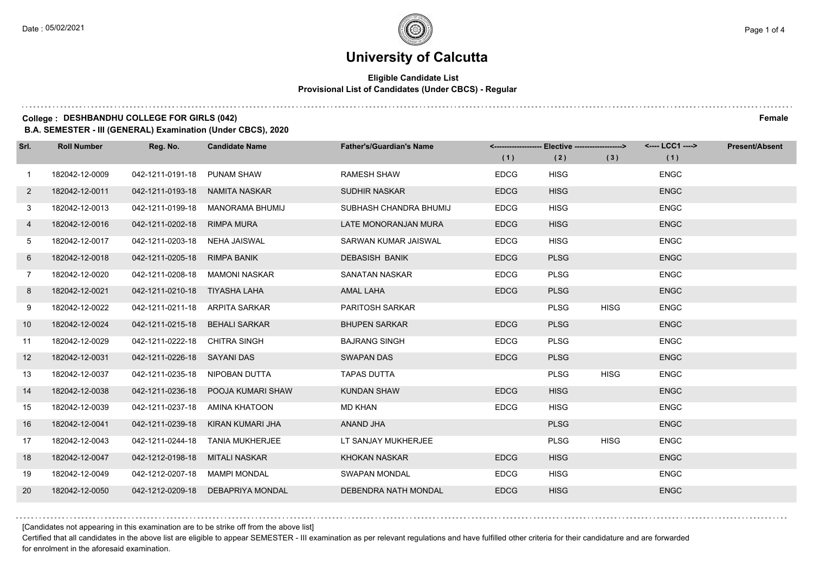### **Eligible Candidate List Provisional List of Candidates (Under CBCS) - Regular**

#### **College : DESHBANDHU COLLEGE FOR GIRLS (042) Female**

**B.A. SEMESTER - III (GENERAL) Examination (Under CBCS), 2020**

| Srl.         | <b>Roll Number</b> | Reg. No.                       | <b>Candidate Name</b>             | <b>Father's/Guardian's Name</b> | (1)         | <-------------------- Elective ------------------><br>(2) | (3)         | <---- LCC1 ----><br>(1) | <b>Present/Absent</b> |
|--------------|--------------------|--------------------------------|-----------------------------------|---------------------------------|-------------|-----------------------------------------------------------|-------------|-------------------------|-----------------------|
| $\mathbf{1}$ | 182042-12-0009     | 042-1211-0191-18               | <b>PUNAM SHAW</b>                 | <b>RAMESH SHAW</b>              | <b>EDCG</b> | <b>HISG</b>                                               |             | <b>ENGC</b>             |                       |
| $\mathbf{2}$ | 182042-12-0011     | 042-1211-0193-18               | NAMITA NASKAR                     | <b>SUDHIR NASKAR</b>            | <b>EDCG</b> | <b>HISG</b>                                               |             | <b>ENGC</b>             |                       |
| 3            | 182042-12-0013     |                                | 042-1211-0199-18 MANORAMA BHUMIJ  | SUBHASH CHANDRA BHUMIJ          | <b>EDCG</b> | <b>HISG</b>                                               |             | <b>ENGC</b>             |                       |
| 4            | 182042-12-0016     | 042-1211-0202-18 RIMPA MURA    |                                   | LATE MONORANJAN MURA            | <b>EDCG</b> | <b>HISG</b>                                               |             | <b>ENGC</b>             |                       |
| 5            | 182042-12-0017     | 042-1211-0203-18               | NEHA JAISWAL                      | SARWAN KUMAR JAISWAL            | <b>EDCG</b> | <b>HISG</b>                                               |             | <b>ENGC</b>             |                       |
| 6            | 182042-12-0018     | 042-1211-0205-18               | <b>RIMPA BANIK</b>                | <b>DEBASISH BANIK</b>           | <b>EDCG</b> | <b>PLSG</b>                                               |             | <b>ENGC</b>             |                       |
| $7^{\circ}$  | 182042-12-0020     |                                | 042-1211-0208-18 MAMONI NASKAR    | SANATAN NASKAR                  | <b>EDCG</b> | <b>PLSG</b>                                               |             | <b>ENGC</b>             |                       |
| 8            | 182042-12-0021     | 042-1211-0210-18 TIYASHA LAHA  |                                   | <b>AMAL LAHA</b>                | <b>EDCG</b> | <b>PLSG</b>                                               |             | <b>ENGC</b>             |                       |
| 9            | 182042-12-0022     | 042-1211-0211-18 ARPITA SARKAR |                                   | <b>PARITOSH SARKAR</b>          |             | <b>PLSG</b>                                               | <b>HISG</b> | <b>ENGC</b>             |                       |
| 10           | 182042-12-0024     | 042-1211-0215-18               | <b>BEHALI SARKAR</b>              | <b>BHUPEN SARKAR</b>            | <b>EDCG</b> | <b>PLSG</b>                                               |             | <b>ENGC</b>             |                       |
| 11           | 182042-12-0029     | 042-1211-0222-18 CHITRA SINGH  |                                   | <b>BAJRANG SINGH</b>            | <b>EDCG</b> | <b>PLSG</b>                                               |             | <b>ENGC</b>             |                       |
| 12           | 182042-12-0031     | 042-1211-0226-18 SAYANI DAS    |                                   | <b>SWAPAN DAS</b>               | <b>EDCG</b> | <b>PLSG</b>                                               |             | <b>ENGC</b>             |                       |
| 13           | 182042-12-0037     | 042-1211-0235-18 NIPOBAN DUTTA |                                   | <b>TAPAS DUTTA</b>              |             | <b>PLSG</b>                                               | <b>HISG</b> | <b>ENGC</b>             |                       |
| 14           | 182042-12-0038     | 042-1211-0236-18               | POOJA KUMARI SHAW                 | <b>KUNDAN SHAW</b>              | <b>EDCG</b> | <b>HISG</b>                                               |             | <b>ENGC</b>             |                       |
| 15           | 182042-12-0039     |                                | 042-1211-0237-18 AMINA KHATOON    | <b>MD KHAN</b>                  | <b>EDCG</b> | <b>HISG</b>                                               |             | <b>ENGC</b>             |                       |
| 16           | 182042-12-0041     |                                | 042-1211-0239-18 KIRAN KUMARI JHA | ANAND JHA                       |             | <b>PLSG</b>                                               |             | <b>ENGC</b>             |                       |
| 17           | 182042-12-0043     | 042-1211-0244-18               | <b>TANIA MUKHERJEE</b>            | LT SANJAY MUKHERJEE             |             | <b>PLSG</b>                                               | <b>HISG</b> | <b>ENGC</b>             |                       |
| 18           | 182042-12-0047     | 042-1212-0198-18               | MITALI NASKAR                     | <b>KHOKAN NASKAR</b>            | <b>EDCG</b> | <b>HISG</b>                                               |             | <b>ENGC</b>             |                       |
| 19           | 182042-12-0049     | 042-1212-0207-18 MAMPI MONDAL  |                                   | <b>SWAPAN MONDAL</b>            | <b>EDCG</b> | <b>HISG</b>                                               |             | <b>ENGC</b>             |                       |
| 20           | 182042-12-0050     |                                | 042-1212-0209-18 DEBAPRIYA MONDAL | <b>DEBENDRA NATH MONDAL</b>     | <b>EDCG</b> | <b>HISG</b>                                               |             | <b>ENGC</b>             |                       |

[Candidates not appearing in this examination are to be strike off from the above list]

Certified that all candidates in the above list are eligible to appear SEMESTER - III examination as per relevant regulations and have fulfilled other criteria for their candidature and are forwarded for enrolment in the aforesaid examination.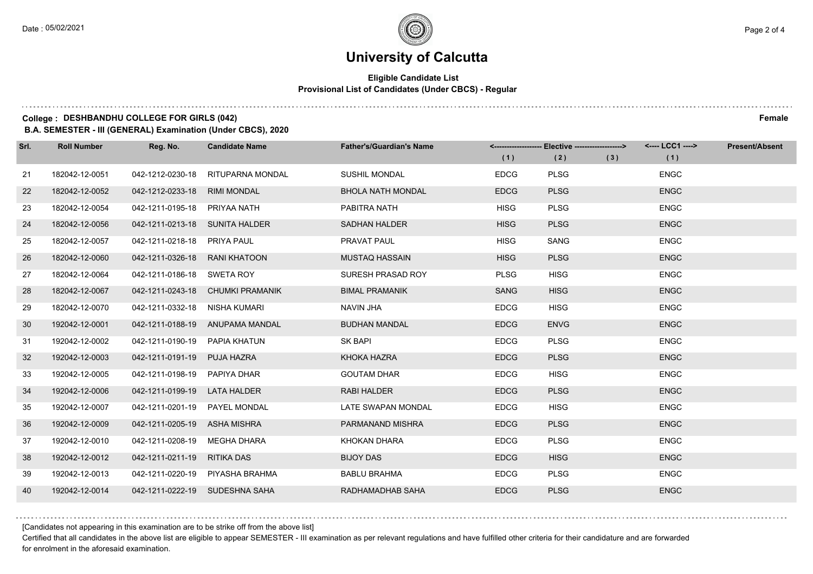### **Eligible Candidate List Provisional List of Candidates (Under CBCS) - Regular**

#### **College : DESHBANDHU COLLEGE FOR GIRLS (042) Female**

**B.A. SEMESTER - III (GENERAL) Examination (Under CBCS), 2020**

| Srl. | <b>Roll Number</b> | Reg. No.                       | <b>Candidate Name</b>            | <b>Father's/Guardian's Name</b> | (1)         | <-------------------- Elective -------------------><br>(2) | (3) | <---- LCC1 ----><br>(1) | <b>Present/Absent</b> |
|------|--------------------|--------------------------------|----------------------------------|---------------------------------|-------------|------------------------------------------------------------|-----|-------------------------|-----------------------|
| 21   | 182042-12-0051     | 042-1212-0230-18               | RITUPARNA MONDAL                 | <b>SUSHIL MONDAL</b>            | <b>EDCG</b> | <b>PLSG</b>                                                |     | <b>ENGC</b>             |                       |
| 22   | 182042-12-0052     | 042-1212-0233-18               | <b>RIMI MONDAL</b>               | <b>BHOLA NATH MONDAL</b>        | <b>EDCG</b> | <b>PLSG</b>                                                |     | <b>ENGC</b>             |                       |
| 23   | 182042-12-0054     | 042-1211-0195-18 PRIYAA NATH   |                                  | PABITRA NATH                    | <b>HISG</b> | <b>PLSG</b>                                                |     | <b>ENGC</b>             |                       |
| 24   | 182042-12-0056     | 042-1211-0213-18 SUNITA HALDER |                                  | <b>SADHAN HALDER</b>            | <b>HISG</b> | <b>PLSG</b>                                                |     | <b>ENGC</b>             |                       |
| 25   | 182042-12-0057     | 042-1211-0218-18 PRIYA PAUL    |                                  | PRAVAT PAUL                     | <b>HISG</b> | SANG                                                       |     | <b>ENGC</b>             |                       |
| 26   | 182042-12-0060     | 042-1211-0326-18 RANI KHATOON  |                                  | <b>MUSTAQ HASSAIN</b>           | <b>HISG</b> | <b>PLSG</b>                                                |     | <b>ENGC</b>             |                       |
| 27   | 182042-12-0064     | 042-1211-0186-18 SWETA ROY     |                                  | SURESH PRASAD ROY               | <b>PLSG</b> | <b>HISG</b>                                                |     | <b>ENGC</b>             |                       |
| 28   | 182042-12-0067     |                                | 042-1211-0243-18 CHUMKI PRAMANIK | <b>BIMAL PRAMANIK</b>           | <b>SANG</b> | <b>HISG</b>                                                |     | <b>ENGC</b>             |                       |
| 29   | 182042-12-0070     | 042-1211-0332-18 NISHA KUMARI  |                                  | <b>NAVIN JHA</b>                | <b>EDCG</b> | <b>HISG</b>                                                |     | <b>ENGC</b>             |                       |
| 30   | 192042-12-0001     |                                | 042-1211-0188-19 ANUPAMA MANDAL  | <b>BUDHAN MANDAL</b>            | <b>EDCG</b> | <b>ENVG</b>                                                |     | <b>ENGC</b>             |                       |
| 31   | 192042-12-0002     | 042-1211-0190-19 PAPIA KHATUN  |                                  | SK BAPI                         | <b>EDCG</b> | <b>PLSG</b>                                                |     | <b>ENGC</b>             |                       |
| 32   | 192042-12-0003     | 042-1211-0191-19 PUJA HAZRA    |                                  | KHOKA HAZRA                     | <b>EDCG</b> | <b>PLSG</b>                                                |     | <b>ENGC</b>             |                       |
| 33   | 192042-12-0005     | 042-1211-0198-19 PAPIYA DHAR   |                                  | <b>GOUTAM DHAR</b>              | <b>EDCG</b> | <b>HISG</b>                                                |     | <b>ENGC</b>             |                       |
| 34   | 192042-12-0006     | 042-1211-0199-19 LATA HALDER   |                                  | <b>RABI HALDER</b>              | <b>EDCG</b> | <b>PLSG</b>                                                |     | <b>ENGC</b>             |                       |
| 35   | 192042-12-0007     | 042-1211-0201-19 PAYEL MONDAL  |                                  | LATE SWAPAN MONDAL              | <b>EDCG</b> | <b>HISG</b>                                                |     | <b>ENGC</b>             |                       |
| 36   | 192042-12-0009     | 042-1211-0205-19 ASHA MISHRA   |                                  | PARMANAND MISHRA                | <b>EDCG</b> | <b>PLSG</b>                                                |     | <b>ENGC</b>             |                       |
| 37   | 192042-12-0010     | 042-1211-0208-19               | MEGHA DHARA                      | KHOKAN DHARA                    | <b>EDCG</b> | <b>PLSG</b>                                                |     | <b>ENGC</b>             |                       |
| 38   | 192042-12-0012     | 042-1211-0211-19 RITIKA DAS    |                                  | <b>BIJOY DAS</b>                | <b>EDCG</b> | <b>HISG</b>                                                |     | <b>ENGC</b>             |                       |
| 39   | 192042-12-0013     |                                | 042-1211-0220-19 PIYASHA BRAHMA  | <b>BABLU BRAHMA</b>             | <b>EDCG</b> | <b>PLSG</b>                                                |     | <b>ENGC</b>             |                       |
| 40   | 192042-12-0014     |                                | 042-1211-0222-19 SUDESHNA SAHA   | RADHAMADHAB SAHA                | <b>EDCG</b> | <b>PLSG</b>                                                |     | <b>ENGC</b>             |                       |

[Candidates not appearing in this examination are to be strike off from the above list]

Certified that all candidates in the above list are eligible to appear SEMESTER - III examination as per relevant regulations and have fulfilled other criteria for their candidature and are forwarded for enrolment in the aforesaid examination.

. . . . . . . . . .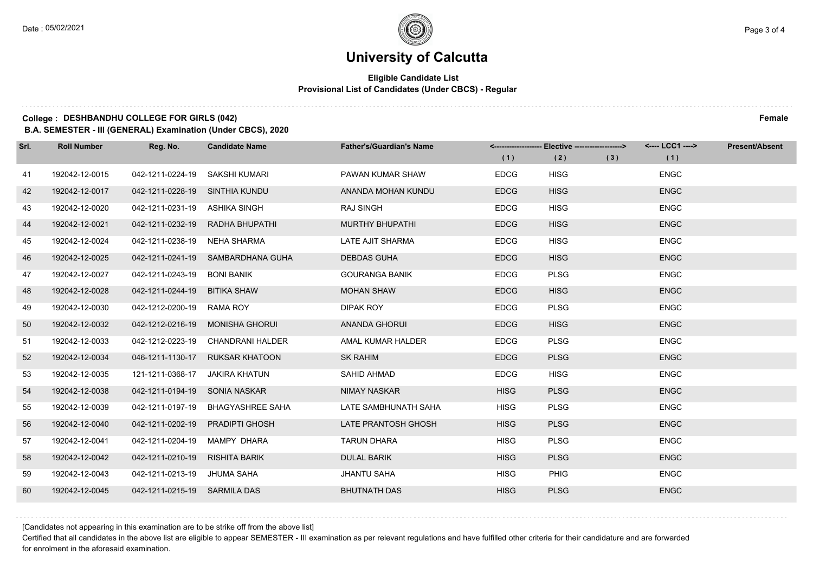### **Eligible Candidate List Provisional List of Candidates (Under CBCS) - Regular**

### **College : DESHBANDHU COLLEGE FOR GIRLS (042) Female**

**B.A. SEMESTER - III (GENERAL) Examination (Under CBCS), 2020**

| Srl. | <b>Roll Number</b> | Reg. No.                      | <b>Candidate Name</b>             | <b>Father's/Guardian's Name</b> | (1)         | <------------------- Elective ------------------><br>(2) | (3) | <---- LCC1 ----><br>(1) | <b>Present/Absent</b> |
|------|--------------------|-------------------------------|-----------------------------------|---------------------------------|-------------|----------------------------------------------------------|-----|-------------------------|-----------------------|
| 41   | 192042-12-0015     | 042-1211-0224-19              | SAKSHI KUMARI                     | PAWAN KUMAR SHAW                | <b>EDCG</b> | <b>HISG</b>                                              |     | <b>ENGC</b>             |                       |
| 42   | 192042-12-0017     | 042-1211-0228-19              | SINTHIA KUNDU                     | ANANDA MOHAN KUNDU              | <b>EDCG</b> | <b>HISG</b>                                              |     | <b>ENGC</b>             |                       |
| 43   | 192042-12-0020     | 042-1211-0231-19 ASHIKA SINGH |                                   | RAJ SINGH                       | <b>EDCG</b> | <b>HISG</b>                                              |     | <b>ENGC</b>             |                       |
| 44   | 192042-12-0021     | 042-1211-0232-19              | RADHA BHUPATHI                    | <b>MURTHY BHUPATHI</b>          | <b>EDCG</b> | <b>HISG</b>                                              |     | <b>ENGC</b>             |                       |
| 45   | 192042-12-0024     | 042-1211-0238-19              | NEHA SHARMA                       | LATE AJIT SHARMA                | <b>EDCG</b> | <b>HISG</b>                                              |     | <b>ENGC</b>             |                       |
| 46   | 192042-12-0025     | 042-1211-0241-19              | SAMBARDHANA GUHA                  | <b>DEBDAS GUHA</b>              | <b>EDCG</b> | <b>HISG</b>                                              |     | <b>ENGC</b>             |                       |
| 47   | 192042-12-0027     | 042-1211-0243-19              | <b>BONI BANIK</b>                 | <b>GOURANGA BANIK</b>           | <b>EDCG</b> | <b>PLSG</b>                                              |     | <b>ENGC</b>             |                       |
| 48   | 192042-12-0028     | 042-1211-0244-19              | BITIKA SHAW                       | <b>MOHAN SHAW</b>               | <b>EDCG</b> | <b>HISG</b>                                              |     | <b>ENGC</b>             |                       |
| 49   | 192042-12-0030     | 042-1212-0200-19              | RAMA ROY                          | <b>DIPAK ROY</b>                | <b>EDCG</b> | <b>PLSG</b>                                              |     | <b>ENGC</b>             |                       |
| 50   | 192042-12-0032     | 042-1212-0216-19              | <b>MONISHA GHORUI</b>             | <b>ANANDA GHORUI</b>            | <b>EDCG</b> | <b>HISG</b>                                              |     | <b>ENGC</b>             |                       |
| 51   | 192042-12-0033     |                               | 042-1212-0223-19 CHANDRANI HALDER | AMAL KUMAR HALDER               | <b>EDCG</b> | <b>PLSG</b>                                              |     | <b>ENGC</b>             |                       |
| 52   | 192042-12-0034     | 046-1211-1130-17              | <b>RUKSAR KHATOON</b>             | <b>SK RAHIM</b>                 | <b>EDCG</b> | <b>PLSG</b>                                              |     | <b>ENGC</b>             |                       |
| 53   | 192042-12-0035     | 121-1211-0368-17              | JAKIRA KHATUN                     | SAHID AHMAD                     | <b>EDCG</b> | <b>HISG</b>                                              |     | <b>ENGC</b>             |                       |
| 54   | 192042-12-0038     | 042-1211-0194-19 SONIA NASKAR |                                   | <b>NIMAY NASKAR</b>             | <b>HISG</b> | <b>PLSG</b>                                              |     | <b>ENGC</b>             |                       |
| 55   | 192042-12-0039     | 042-1211-0197-19              | BHAGYASHREE SAHA                  | LATE SAMBHUNATH SAHA            | <b>HISG</b> | <b>PLSG</b>                                              |     | <b>ENGC</b>             |                       |
| 56   | 192042-12-0040     | 042-1211-0202-19              | <b>PRADIPTI GHOSH</b>             | LATE PRANTOSH GHOSH             | <b>HISG</b> | <b>PLSG</b>                                              |     | <b>ENGC</b>             |                       |
| 57   | 192042-12-0041     | 042-1211-0204-19              | MAMPY DHARA                       | <b>TARUN DHARA</b>              | <b>HISG</b> | <b>PLSG</b>                                              |     | <b>ENGC</b>             |                       |
| 58   | 192042-12-0042     | 042-1211-0210-19              | <b>RISHITA BARIK</b>              | <b>DULAL BARIK</b>              | <b>HISG</b> | <b>PLSG</b>                                              |     | <b>ENGC</b>             |                       |
| 59   | 192042-12-0043     | 042-1211-0213-19 JHUMA SAHA   |                                   | <b>JHANTU SAHA</b>              | <b>HISG</b> | <b>PHIG</b>                                              |     | <b>ENGC</b>             |                       |
| 60   | 192042-12-0045     | 042-1211-0215-19 SARMILA DAS  |                                   | <b>BHUTNATH DAS</b>             | <b>HISG</b> | <b>PLSG</b>                                              |     | <b>ENGC</b>             |                       |

[Candidates not appearing in this examination are to be strike off from the above list]

Certified that all candidates in the above list are eligible to appear SEMESTER - III examination as per relevant regulations and have fulfilled other criteria for their candidature and are forwarded for enrolment in the aforesaid examination.

and a strategic control